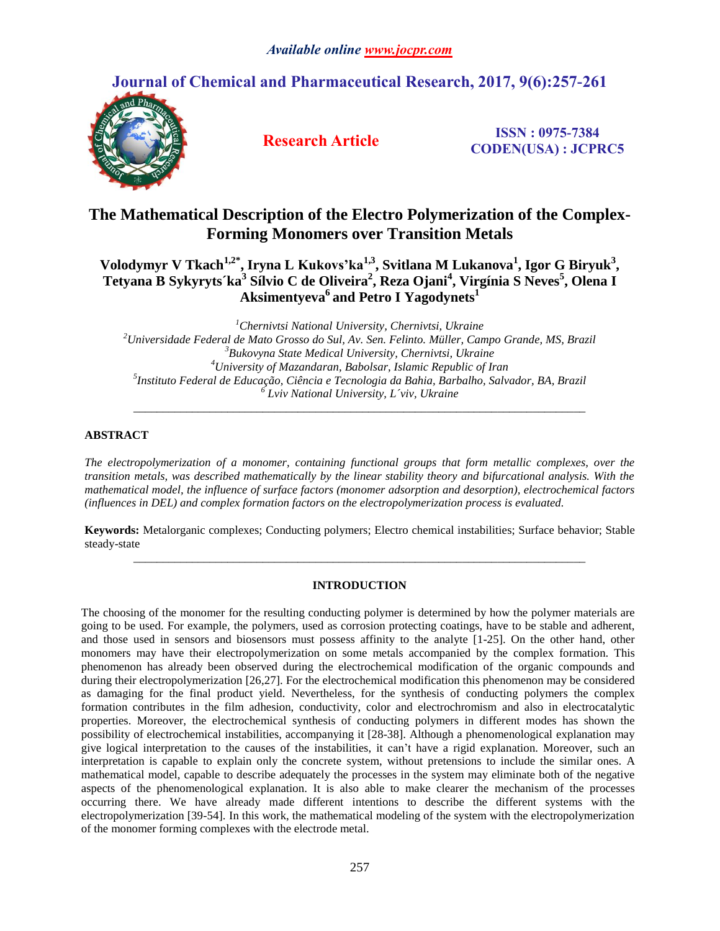# **Journal of Chemical and Pharmaceutical Research, 2017, 9(6):257-261**



**Research Article ISSN : 0975-7384 CODEN(USA) : JCPRC5**

## **The Mathematical Description of the Electro Polymerization of the Complex-Forming Monomers over Transition Metals**

## Volodymyr V Tkach<sup>1,2\*</sup>, Iryna L Kukovs'ka<sup>1,3</sup>, Svitlana M Lukanova<sup>1</sup>, Igor G Biryuk<sup>3</sup>, Tetyana B Sykyryts´ka $^3$  Sílvio C de Oliveira $^2$ , Reza Ojani $^4$ , Virgínia S Neves $^5$ , Olena I **Aksimentyeva<sup>6</sup> and Petro I Yagodynets<sup>1</sup>**

*Chernivtsi National University, Chernivtsi, Ukraine Universidade Federal de Mato Grosso do Sul, Av. Sen. Felinto. Müller, Campo Grande, MS, Brazil Bukovyna State Medical University, Chernivtsi, Ukraine University of Mazandaran, Babolsar, Islamic Republic of Iran Instituto Federal de Educação, Ciência e Tecnologia da Bahia, Barbalho, Salvador, BA, Brazil Lviv National University, L´viv, Ukraine \_\_\_\_\_\_\_\_\_\_\_\_\_\_\_\_\_\_\_\_\_\_\_\_\_\_\_\_\_\_\_\_\_\_\_\_\_\_\_\_\_\_\_\_\_\_\_\_\_\_\_\_\_\_\_\_\_\_\_\_\_\_\_\_\_\_\_\_\_\_\_\_\_\_\_\_\_*

### **ABSTRACT**

*The electropolymerization of a monomer, containing functional groups that form metallic complexes, over the transition metals, was described mathematically by the linear stability theory and bifurcational analysis. With the mathematical model, the influence of surface factors (monomer adsorption and desorption), electrochemical factors (influences in DEL) and complex formation factors on the electropolymerization process is evaluated.* 

**Keywords:** Metalorganic complexes; Conducting polymers; Electro chemical instabilities; Surface behavior; Stable steady-state *\_\_\_\_\_\_\_\_\_\_\_\_\_\_\_\_\_\_\_\_\_\_\_\_\_\_\_\_\_\_\_\_\_\_\_\_\_\_\_\_\_\_\_\_\_\_\_\_\_\_\_\_\_\_\_\_\_\_\_\_\_\_\_\_\_\_\_\_\_\_\_\_\_\_\_\_\_*

### **INTRODUCTION**

The choosing of the monomer for the resulting conducting polymer is determined by how the polymer materials are going to be used. For example, the polymers, used as corrosion protecting coatings, have to be stable and adherent, and those used in sensors and biosensors must possess affinity to the analyte [1-25]. On the other hand, other monomers may have their electropolymerization on some metals accompanied by the complex formation. This phenomenon has already been observed during the electrochemical modification of the organic compounds and during their electropolymerization [26,27]. For the electrochemical modification this phenomenon may be considered as damaging for the final product yield. Nevertheless, for the synthesis of conducting polymers the complex formation contributes in the film adhesion, conductivity, color and electrochromism and also in electrocatalytic properties. Moreover, the electrochemical synthesis of conducting polymers in different modes has shown the possibility of electrochemical instabilities, accompanying it [28-38]. Although a phenomenological explanation may give logical interpretation to the causes of the instabilities, it can't have a rigid explanation. Moreover, such an interpretation is capable to explain only the concrete system, without pretensions to include the similar ones. A mathematical model, capable to describe adequately the processes in the system may eliminate both of the negative aspects of the phenomenological explanation. It is also able to make clearer the mechanism of the processes occurring there. We have already made different intentions to describe the different systems with the electropolymerization [39-54]. In this work, the mathematical modeling of the system with the electropolymerization of the monomer forming complexes with the electrode metal.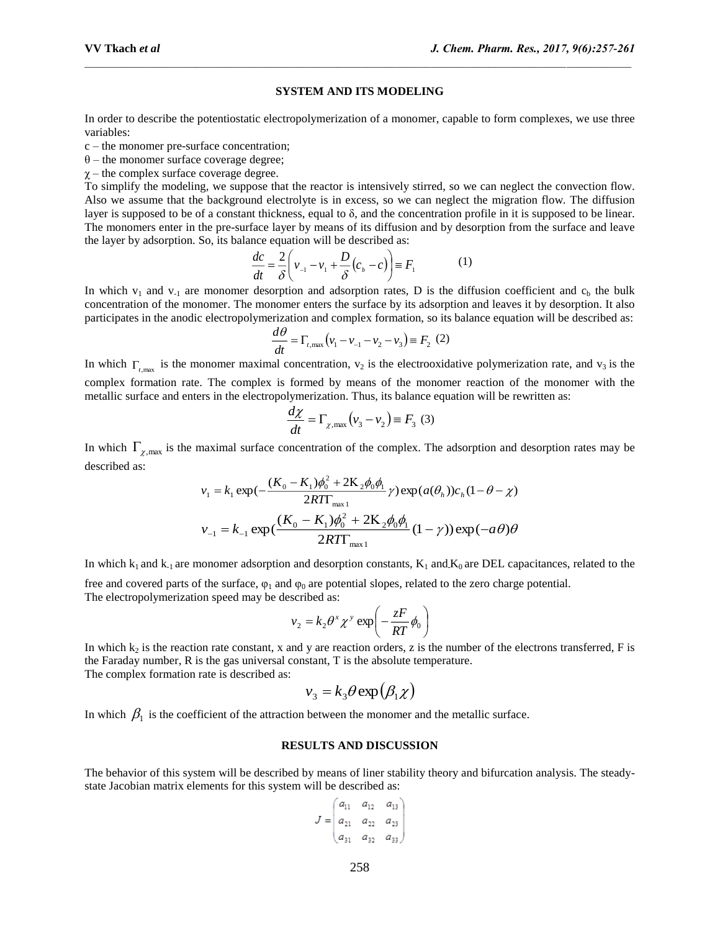#### **SYSTEM AND ITS MODELING**

In order to describe the potentiostatic electropolymerization of a monomer, capable to form complexes, we use three variables:

c – the monomer pre-surface concentration;

 $\theta$  – the monomer surface coverage degree;

 $\gamma$  – the complex surface coverage degree.

To simplify the modeling, we suppose that the reactor is intensively stirred, so we can neglect the convection flow. Also we assume that the background electrolyte is in excess, so we can neglect the migration flow. The diffusion layer is supposed to be of a constant thickness, equal to δ, and the concentration profile in it is supposed to be linear. The monomers enter in the pre-surface layer by means of its diffusion and by desorption from the surface and leave the layer by adsorption. So, its balance equation will be described as:

$$
\frac{dc}{dt} = \frac{2}{\delta} \left( v_{-1} - v_1 + \frac{D}{\delta} (c_b - c) \right) \equiv F_1 \tag{1}
$$

In which  $v_1$  and  $v_{-1}$  are monomer desorption and adsorption rates, D is the diffusion coefficient and  $c_b$  the bulk concentration of the monomer. The monomer enters the surface by its adsorption and leaves it by desorption. It also participates in the anodic electropolymerization and complex formation, so its balance equation will be described as:

$$
\frac{d\theta}{dt} = \Gamma_{t,\text{max}} (v_1 - v_{-1} - v_2 - v_3) \equiv F_2 \tag{2}
$$

In which  $\Gamma_{\text{max}}$  is the monomer maximal concentration,  $v_2$  is the electrooxidative polymerization rate, and  $v_3$  is the complex formation rate. The complex is formed by means of the monomer reaction of the monomer with the metallic surface and enters in the electropolymerization. Thus, its balance equation will be rewritten as:

$$
\frac{d\chi}{dt} = \Gamma_{\chi,\text{max}}(v_3 - v_2) \equiv F_3 \tag{3}
$$

In which  $\Gamma_{\chi,\text{max}}$  is the maximal surface concentration of the complex. The adsorption and desorption rates may be described as:

$$
v_1 = k_1 \exp(-\frac{(K_0 - K_1)\phi_0^2 + 2K_2\phi_0\phi_1}{2RT\Gamma_{\text{max-1}}}) \gamma \exp(a(\theta_h))c_h(1 - \theta - \chi)
$$
  

$$
v_{-1} = k_{-1} \exp(\frac{(K_0 - K_1)\phi_0^2 + 2K_2\phi_0\phi_1}{2RT\Gamma_{\text{max-1}}})(1 - \gamma) \exp(-a\theta)\theta
$$

In which  $k_1$  and  $k_2$  are monomer adsorption and desorption constants,  $K_1$  and  $K_0$  are DEL capacitances, related to the

free and covered parts of the surface,  $\varphi_1$  and  $\varphi_0$  are potential slopes, related to the zero charge potential. The electropolymerization speed may be described as:

$$
v_2 = k_2 \theta^x \chi^y \exp\left(-\frac{zF}{RT}\phi_0\right)
$$

In which  $k_2$  is the reaction rate constant, x and y are reaction orders, z is the number of the electrons transferred, F is the Faraday number, R is the gas universal constant, T is the absolute temperature. The complex formation rate is described as:

$$
v_3 = k_3 \theta \exp(\beta_1 \chi)
$$

In which  $\beta_1$  is the coefficient of the attraction between the monomer and the metallic surface.

#### **RESULTS AND DISCUSSION**

The behavior of this system will be described by means of liner stability theory and bifurcation analysis. The steadystate Jacobian matrix elements for this system will be described as:

$$
J = \begin{pmatrix} a_{11} & a_{12} & a_{13} \\ a_{21} & a_{22} & a_{23} \\ a_{31} & a_{32} & a_{33} \end{pmatrix}
$$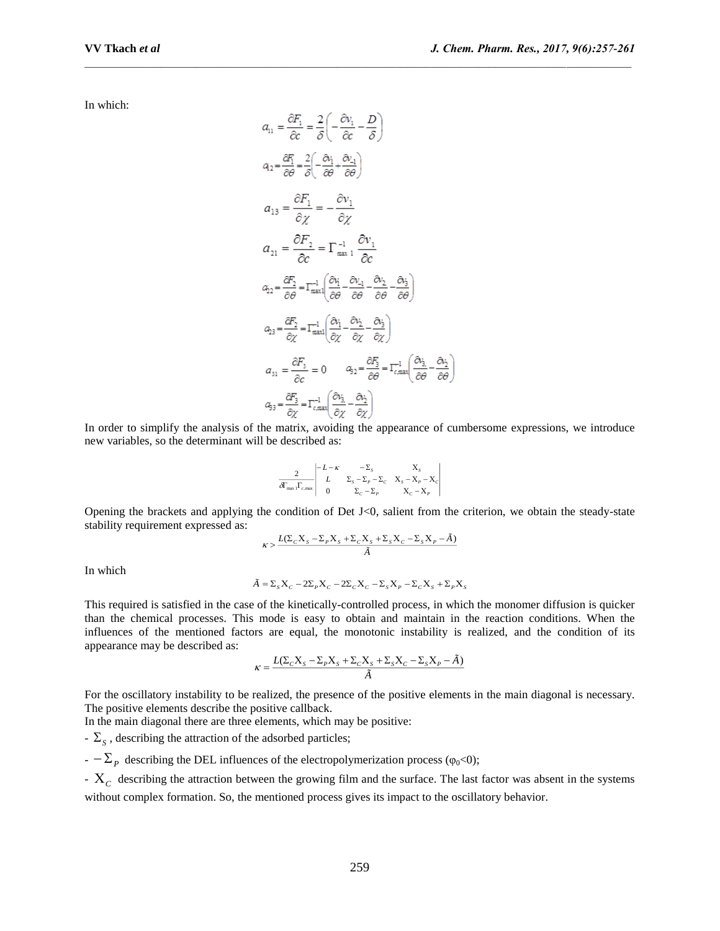In which:

$$
a_{11} = \frac{\partial F_1}{\partial c} = \frac{2}{\delta} \left( -\frac{\partial v_1}{\partial c} - \frac{D}{\delta} \right)
$$
  
\n
$$
a_{2} = \frac{\partial F_1}{\partial \theta} = \frac{2}{\delta} \left( -\frac{\partial v_1}{\partial \theta} + \frac{\partial v_1}{\partial \theta} \right)
$$
  
\n
$$
a_{13} = \frac{\partial F_1}{\partial \chi} = -\frac{\partial v_1}{\partial \chi}
$$
  
\n
$$
a_{21} = \frac{\partial F_2}{\partial c} = \Gamma_{\text{max 1}}^{-1} \frac{\partial v_1}{\partial c}
$$
  
\n
$$
a_{22} = \frac{\partial F_2}{\partial \theta} = \Gamma_{\text{max 1}}^{-1} \left( \frac{\partial v_1}{\partial \theta} - \frac{\partial v_2}{\partial \theta} - \frac{\partial v_2}{\partial \theta} \right)
$$
  
\n
$$
a_{23} = \frac{\partial F_2}{\partial \chi} = \Gamma_{\text{max 1}}^{-1} \left( \frac{\partial v_1}{\partial \chi} - \frac{\partial v_2}{\partial \chi} - \frac{\partial v_3}{\partial \chi} \right)
$$
  
\n
$$
a_{31} = \frac{\partial F_3}{\partial c} = 0 \qquad a_{32} = \frac{\partial F_3}{\partial \theta} = \Gamma_{\text{c,max}}^{-1} \left( \frac{\partial v_3}{\partial \theta} - \frac{\partial v_2}{\partial \theta} \right)
$$
  
\n
$$
a_{33} = \frac{\partial F_3}{\partial \chi} = \Gamma_{\text{c,max}}^{-1} \left( \frac{\partial v_3}{\partial \chi} - \frac{\partial v_2}{\partial \chi} \right)
$$

In order to simplify the analysis of the matrix, avoiding the appearance of cumbersome expressions, we introduce new variables, so the determinant will be described as:

$$
\frac{2}{\delta \Gamma_{\text{max}} \Gamma_{\text{c,max}}} \begin{vmatrix} -L - \kappa & -\Sigma_{s} & X_{s} \\ L & \Sigma_{s} - \Sigma_{p} - \Sigma_{c} & X_{s} - X_{p} - X_{c} \\ 0 & \Sigma_{c} - \Sigma_{p} & X_{c} - X_{p} \end{vmatrix}
$$

Opening the brackets and applying the condition of Det J<0, salient from the criterion, we obtain the steady-state stability requirement expressed as:

$$
\kappa > \frac{L(\Sigma_c X_s - \Sigma_p X_s + \Sigma_c X_s + \Sigma_s X_c - \Sigma_s X_p - \tilde{A})}{\tilde{A}}
$$

In which

$$
\tilde{A} = \Sigma_s X_c - 2\Sigma_p X_c - 2\Sigma_c X_c - \Sigma_s X_p - \Sigma_c X_s + \Sigma_p X_s
$$

This required is satisfied in the case of the kinetically-controlled process, in which the monomer diffusion is quicker than the chemical processes. This mode is easy to obtain and maintain in the reaction conditions. When the influences of the mentioned factors are equal, the monotonic instability is realized, and the condition of its appearance may be described as:

$$
\kappa = \frac{L(\Sigma_c X_s - \Sigma_p X_s + \Sigma_c X_s + \Sigma_s X_c - \Sigma_s X_p - \tilde{A})}{\tilde{A}}
$$

For the oscillatory instability to be realized, the presence of the positive elements in the main diagonal is necessary. The positive elements describe the positive callback.

In the main diagonal there are three elements, which may be positive:

 $\sum_{S}$ , describing the attraction of the adsorbed particles;

 $-2P$  describing the DEL influences of the electropolymerization process ( $\varphi_0$ <0);

- *<sup>C</sup>* describing the attraction between the growing film and the surface. The last factor was absent in the systems without complex formation. So, the mentioned process gives its impact to the oscillatory behavior.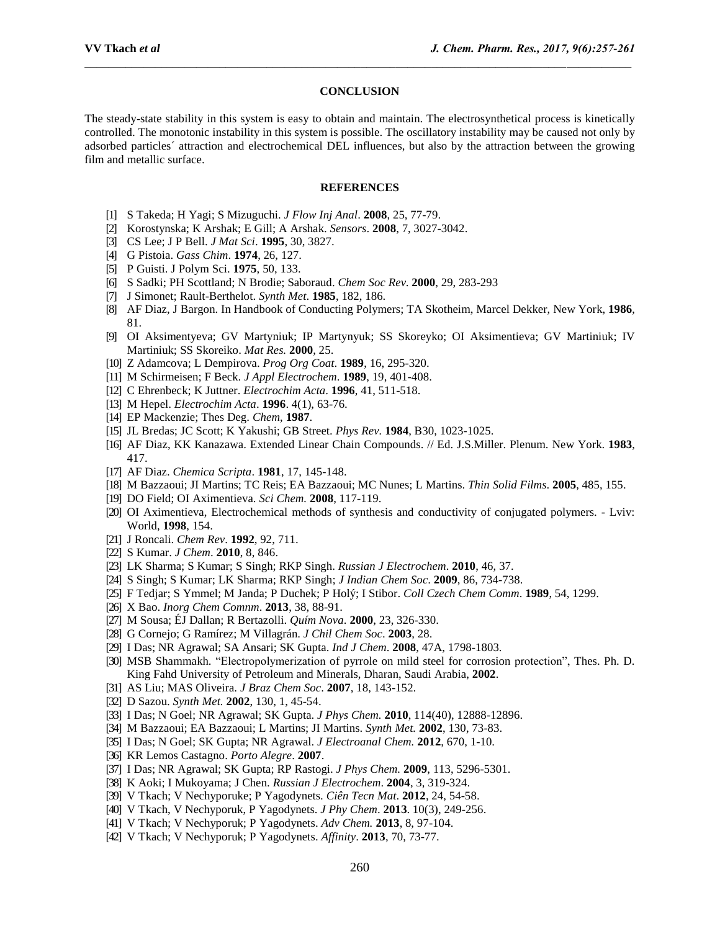#### **CONCLUSION**

The steady-state stability in this system is easy to obtain and maintain. The electrosynthetical process is kinetically controlled. The monotonic instability in this system is possible. The oscillatory instability may be caused not only by adsorbed particles´ attraction and electrochemical DEL influences, but also by the attraction between the growing film and metallic surface.

#### **REFERENCES**

- [1] S Takeda; H Yagi; S Mizuguchi. *J Flow Inj Anal*. **2008**, 25, 77-79.
- [2] Korostynska; K Arshak; E Gill; A Arshak. *Sensors*. **2008**, 7, 3027-3042.
- [3] CS Lee; J P Bell. *J Mat Sci*. **1995**, 30, 3827.
- [4] G Pistoia. *Gass Chim*. **1974**, 26, 127.
- [5] P Guisti. J Polym Sci. **1975**, 50, 133.
- [6] S Sadki; PH Scottland; N Brodie; Saboraud. *Chem Soc Rev*. **2000**, 29, 283-293
- [7] J Simonet; Rault-Berthelot. *Synth Met*. **1985**, 182, 186.
- [8] AF Diaz, J Bargon. In Handbook of Conducting Polymers; TA Skotheim, Marcel Dekker, New York, **1986**, 81.
- [9] OI Aksimentyeva; GV Martyniuk; IP Martynyuk; SS Skoreyko; OI Aksimentieva; GV Martiniuk; IV Martiniuk; SS Skoreiko. *Mat Res.* **2000**, 25.
- [10] Z Adamcova; L Dempirova. *Prog Org Coat*. **1989**, 16, 295-320.
- [11] M Schirmeisen; F Beck. *J Appl Electrochem*. **1989**, 19, 401-408.
- [12] C Ehrenbeck; K Juttner. *Electrochim Acta*. **1996**, 41, 511-518.
- [13] M Hepel. *Electrochim Acta*. **1996**. 4(1), 63-76.
- [14] EP Mackenzie; Thes Deg. *Chem*, **1987**.
- [15] JL Bredas; JC Scott; K Yakushi; GB Street. *Phys Rev.* **1984**, В30, 1023-1025.
- [16] AF Diaz, KK Kanazawa. Extended Linear Chain Compounds. // Ed. J.S.Miller. Plenum. New York. **1983**, 417.
- [17] AF Diaz. *Chemica Scripta*. **1981**, 17, 145-148.
- [18] M Bazzaoui; JI Martins; TC Reis; EA Bazzaoui; MC Nunes; L Martins. *Thin Solid Films*. **2005**, 485, 155.
- [19] DO Field; OI Aximentieva. *Sci Chem.* **2008**, 117-119.
- [20] OI Aximentieva, Electrochemical methods of synthesis and conductivity of conjugated polymers. Lviv: World, **1998**, 154.
- [21] J Roncali. *Chem Rev*. **1992**, 92, 711.
- [22] S Kumar. *J Chem*. **2010**, 8, 846.
- [23] LK Sharma; S Kumar; S Singh; RKP Singh. *Russian J Electrochem*. **2010**, 46, 37.
- [24] S Singh; S Kumar; LK Sharma; RKP Singh; *J Indian Chem Soc*. **2009**, 86, 734-738.
- [25] F Tedjar; S Ymmel; M Janda; P Duchek; P Holý; I Stibor. *Coll Czech Chem Comm*. **1989**, 54, 1299.
- [26] X Bao. *Inorg Chem Comnm*. **2013**, 38, 88-91.
- [27] M Sousa; ÉJ Dallan; R Bertazolli. *Quím Nova*. **2000**, 23, 326-330.
- [28] G Cornejo; G Ramírez; M Villagrán. *J Chil Chem Soc*. **2003**, 28.
- [29] I Das; NR Agrawal; SA Ansari; SK Gupta. *Ind J Chem*. **2008**, 47A, 1798-1803.
- [30] MSB Shammakh. "Electropolymerization of pyrrole on mild steel for corrosion protection", Thes. Ph. D. King Fahd University of Petroleum and Minerals, Dharan, Saudi Arabia, **2002**.
- [31] AS Liu; MAS Oliveira. *J Braz Chem Soc*. **2007**, 18, 143-152.
- [32] D Sazou. *Synth Met.* **2002**, 130, 1, 45-54.
- [33] I Das; N Goel; NR Agrawal; SK Gupta. *J Phys Chem.* **2010**, 114(40), 12888-12896.
- [34] M Bazzaoui; EA Bazzaoui; L Martins; JI Martins. *Synth Met.* **2002**, 130, 73-83.
- [35] I Das; N Goel; SK Gupta; NR Agrawal. *J Electroanal Chem.* **2012**, 670, 1-10.
- [36] KR Lemos Castagno. *Porto Alegre*. **2007**.
- [37] I Das; NR Agrawal; SK Gupta; RP Rastogi. *J Phys Chem.* **2009**, 113, 5296-5301.
- [38] K Aoki; I Mukoyama; J Chen. *Russian J Electrochem*. **2004**, 3, 319-324.
- [39] V Tkach; V Nechyporuke; P Yagodynets. *Ciên Tecn Mat*. **2012**, 24, 54-58.
- [40] V Tkach, V Nechyporuk, P Yagodynets. *J Phy Chem*. **2013**. 10(3), 249-256.
- [41] V Tkach; V Nechyporuk; P Yagodynets. *Adv Chem.* **2013**, 8, 97-104.
- [42] V Tkach; V Nechyporuk; P Yagodynets. *Affinity*. **2013**, 70, 73-77.